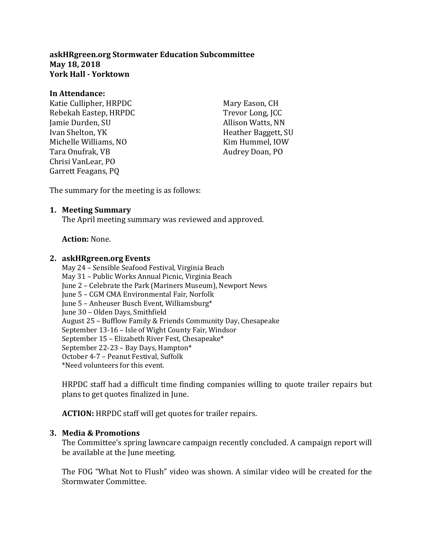**askHRgreen.org Stormwater Education Subcommittee May 18, 2018 York Hall - Yorktown**

#### **In Attendance:**

Katie Cullipher, HRPDC Rebekah Eastep, HRPDC Jamie Durden, SU Ivan Shelton, YK Michelle Williams, NO Tara Onufrak, VB Chrisi VanLear, PO Garrett Feagans, PQ

Mary Eason, CH Trevor Long, JCC Allison Watts, NN Heather Baggett, SU Kim Hummel, IOW Audrey Doan, PO

The summary for the meeting is as follows:

### **1. Meeting Summary**

The April meeting summary was reviewed and approved.

### **Action:** None.

#### **2. askHRgreen.org Events**

May 24 – Sensible Seafood Festival, Virginia Beach May 31 – Public Works Annual Picnic, Virginia Beach June 2 – Celebrate the Park (Mariners Museum), Newport News June 5 – CGM CMA Environmental Fair, Norfolk June 5 – Anheuser Busch Event, Williamsburg\* June 30 – Olden Days, Smithfield August 25 – Bufflow Family & Friends Community Day, Chesapeake September 13-16 – Isle of Wight County Fair, Windsor September 15 – Elizabeth River Fest, Chesapeake\* September 22-23 – Bay Days, Hampton\* October 4-7 – Peanut Festival, Suffolk \*Need volunteers for this event.

HRPDC staff had a difficult time finding companies willing to quote trailer repairs but plans to get quotes finalized in June.

**ACTION:** HRPDC staff will get quotes for trailer repairs.

### **3. Media & Promotions**

The Committee's spring lawncare campaign recently concluded. A campaign report will be available at the June meeting.

The FOG "What Not to Flush" video was shown. A similar video will be created for the Stormwater Committee.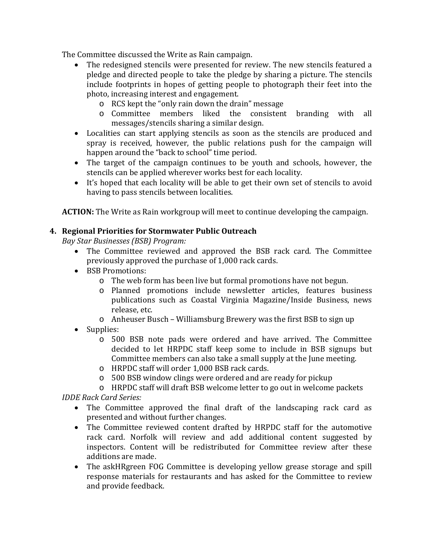The Committee discussed the Write as Rain campaign.<br>• The redesigned stencils were presented for rev

- The redesigned stencils were presented for review. The new stencils featured a pledge and directed people to take the pledge by sharing a picture. The stencils include footprints in hopes of getting people to photograph their feet into the photo, increasing interest and engagement.
	- o RCS kept the "only rain down the drain" message
	- o Committee members liked the consistent branding with all messages/stencils sharing a similar design.
- Localities can start applying stencils as soon as the stencils are produced and spray is received, however, the public relations push for the campaign will happen around the "back to school" time period.
- The target of the campaign continues to be youth and schools, however, the stencils can be applied wherever works best for each locality.
- It's hoped that each locality will be able to get their own set of stencils to avoid having to pass stencils between localities.

**ACTION:** The Write as Rain workgroup will meet to continue developing the campaign.

### **4. Regional Priorities for Stormwater Public Outreach**

*Bay Star Businesses (BSB) Program:*

- The Committee reviewed and approved the BSB rack card. The Committee previously approved the purchase of 1,000 rack cards.
- BSB Promotions:
	- o The web form has been live but formal promotions have not begun.
	- o Planned promotions include newsletter articles, features business publications such as Coastal Virginia Magazine/Inside Business, news release, etc.
	- o Anheuser Busch Williamsburg Brewery was the first BSB to sign up
- Supplies:
	- o 500 BSB note pads were ordered and have arrived. The Committee decided to let HRPDC staff keep some to include in BSB signups but Committee members can also take a small supply at the June meeting.
	- o HRPDC staff will order 1,000 BSB rack cards.
	- o 500 BSB window clings were ordered and are ready for pickup
	- o HRPDC staff will draft BSB welcome letter to go out in welcome packets

*IDDE Rack Card Series:*

- The Committee approved the final draft of the landscaping rack card as presented and without further changes.
- The Committee reviewed content drafted by HRPDC staff for the automotive rack card. Norfolk will review and add additional content suggested by inspectors. Content will be redistributed for Committee review after these additions are made.
- The askHRgreen FOG Committee is developing yellow grease storage and spill response materials for restaurants and has asked for the Committee to review and provide feedback.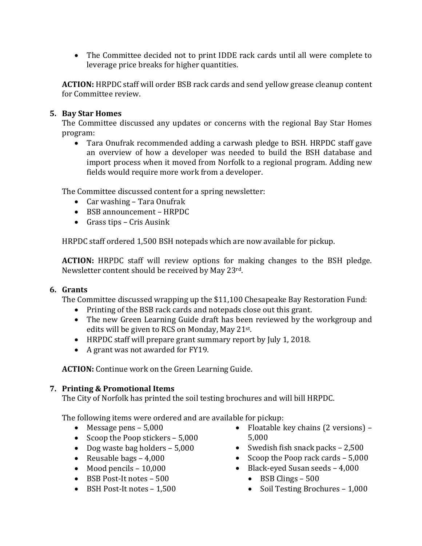• The Committee decided not to print IDDE rack cards until all were complete to leverage price breaks for higher quantities.

**ACTION:** HRPDC staff will order BSB rack cards and send yellow grease cleanup content for Committee review.

### **5. Bay Star Homes**

The Committee discussed any updates or concerns with the regional Bay Star Homes program:

• Tara Onufrak recommended adding a carwash pledge to BSH. HRPDC staff gave an overview of how a developer was needed to build the BSH database and import process when it moved from Norfolk to a regional program. Adding new fields would require more work from a developer.

The Committee discussed content for a spring newsletter:

- Car washing Tara Onufrak
- BSB announcement HRPDC
- Grass tips Cris Ausink

HRPDC staff ordered 1,500 BSH notepads which are now available for pickup.

**ACTION:** HRPDC staff will review options for making changes to the BSH pledge. Newsletter content should be received by May 23rd.

### **6. Grants**

The Committee discussed wrapping up the \$11,100 Chesapeake Bay Restoration Fund:

- Printing of the BSB rack cards and notepads close out this grant.
- The new Green Learning Guide draft has been reviewed by the workgroup and edits will be given to RCS on Monday, May 21st.
- HRPDC staff will prepare grant summary report by July 1, 2018.
- A grant was not awarded for FY19.

**ACTION:** Continue work on the Green Learning Guide.

# **7. Printing & Promotional Items**

The City of Norfolk has printed the soil testing brochures and will bill HRPDC.

The following items were ordered and are available for pickup:

- Message pens 5,000
- Scoop the Poop stickers 5,000
- Dog waste bag holders 5,000
- Reusable bags 4,000
- Mood pencils 10,000
- BSB Post-It notes 500
- BSH Post-It notes 1,500
- Floatable key chains (2 versions) 5,000
- Swedish fish snack packs 2,500
- Scoop the Poop rack cards 5,000
- Black-eyed Susan seeds 4,000
	- $\bullet$  BSB Clings 500
	- Soil Testing Brochures 1,000